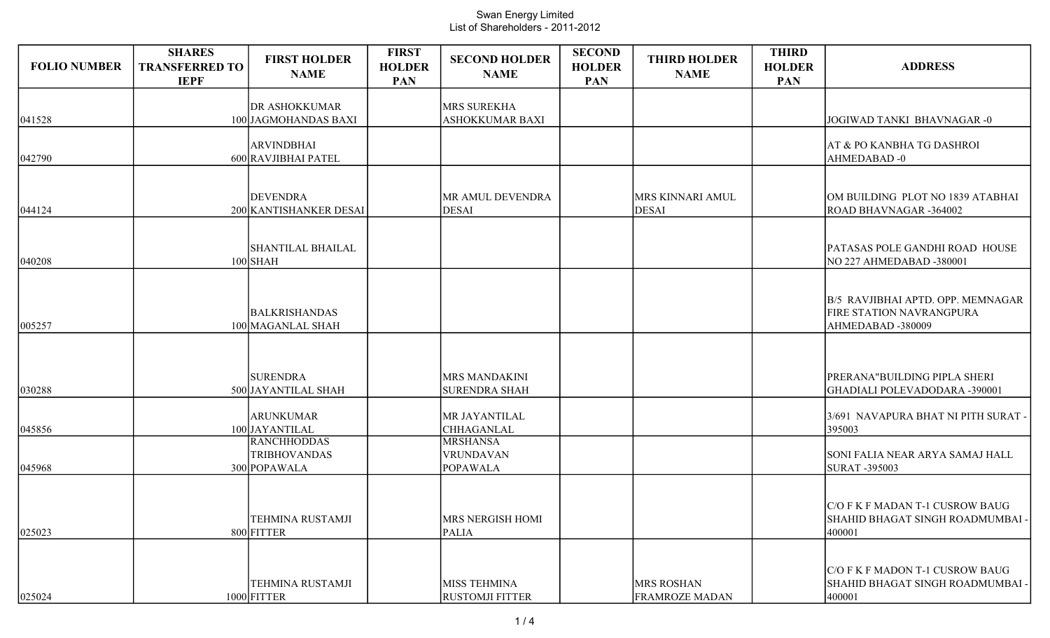| <b>FOLIO NUMBER</b> | <b>SHARES</b><br><b>TRANSFERRED TO</b><br><b>IEPF</b> | <b>FIRST HOLDER</b><br><b>NAME</b>                        | <b>FIRST</b><br><b>HOLDER</b><br><b>PAN</b> | <b>SECOND HOLDER</b><br><b>NAME</b>             | <b>SECOND</b><br><b>HOLDER</b><br><b>PAN</b> | <b>THIRD HOLDER</b><br><b>NAME</b>         | <b>THIRD</b><br><b>HOLDER</b><br><b>PAN</b> | <b>ADDRESS</b>                                                                           |
|---------------------|-------------------------------------------------------|-----------------------------------------------------------|---------------------------------------------|-------------------------------------------------|----------------------------------------------|--------------------------------------------|---------------------------------------------|------------------------------------------------------------------------------------------|
| 041528              |                                                       | <b>DR ASHOKKUMAR</b><br>100 JAGMOHANDAS BAXI              |                                             | MRS SUREKHA<br><b>ASHOKKUMAR BAXI</b>           |                                              |                                            |                                             | JOGIWAD TANKI BHAVNAGAR-0                                                                |
| 042790              |                                                       | <b>ARVINDBHAI</b><br>600 RAVJIBHAI PATEL                  |                                             |                                                 |                                              |                                            |                                             | <b>AT &amp; PO KANBHA TG DASHROI</b><br>AHMEDABAD-0                                      |
| 044124              |                                                       | <b>DEVENDRA</b><br>200 KANTISHANKER DESAI                 |                                             | MR AMUL DEVENDRA<br><b>DESAI</b>                |                                              | <b>MRS KINNARI AMUL</b><br>DESAI           |                                             | OM BUILDING PLOT NO 1839 ATABHAI<br>ROAD BHAVNAGAR -364002                               |
| 040208              |                                                       | <b>SHANTILAL BHAILAL</b><br>$100$ SHAH                    |                                             |                                                 |                                              |                                            |                                             | PATASAS POLE GANDHI ROAD HOUSE<br>NO 227 AHMEDABAD -380001                               |
| 005257              |                                                       | <b>BALKRISHANDAS</b><br>100 MAGANLAL SHAH                 |                                             |                                                 |                                              |                                            |                                             | B/5 RAVJIBHAI APTD. OPP. MEMNAGAR<br><b>FIRE STATION NAVRANGPURA</b><br>AHMEDABAD-380009 |
| 030288              |                                                       | <b>SURENDRA</b><br>500 JAYANTILAL SHAH                    |                                             | <b>MRS MANDAKINI</b><br><b>SURENDRA SHAH</b>    |                                              |                                            |                                             | PRERANA"BUILDING PIPLA SHERI<br>GHADIALI POLEVADODARA -390001                            |
| 045856              |                                                       | <b>ARUNKUMAR</b><br>100 JAYANTILAL                        |                                             | MR JAYANTILAL<br><b>CHHAGANLAL</b>              |                                              |                                            |                                             | 3/691 NAVAPURA BHAT NI PITH SURAT -<br>395003                                            |
| 045968              |                                                       | <b>RANCHHODDAS</b><br><b>TRIBHOVANDAS</b><br>300 POPAWALA |                                             | <b>MRSHANSA</b><br>VRUNDAVAN<br><b>POPAWALA</b> |                                              |                                            |                                             | SONI FALIA NEAR ARYA SAMAJ HALL<br><b>SURAT-395003</b>                                   |
| 025023              |                                                       | TEHMINA RUSTAMJI<br>800 FITTER                            |                                             | MRS NERGISH HOMI<br><b>PALIA</b>                |                                              |                                            |                                             | C/O F K F MADAN T-1 CUSROW BAUG<br>SHAHID BHAGAT SINGH ROADMUMBAI<br>400001              |
| 025024              |                                                       | <b>TEHMINA RUSTAMJI</b><br>$1000$ FITTER                  |                                             | MISS TEHMINA<br><b>RUSTOMJI FITTER</b>          |                                              | <b>MRS ROSHAN</b><br><b>FRAMROZE MADAN</b> |                                             | C/O F K F MADON T-1 CUSROW BAUG<br>SHAHID BHAGAT SINGH ROADMUMBAI<br>400001              |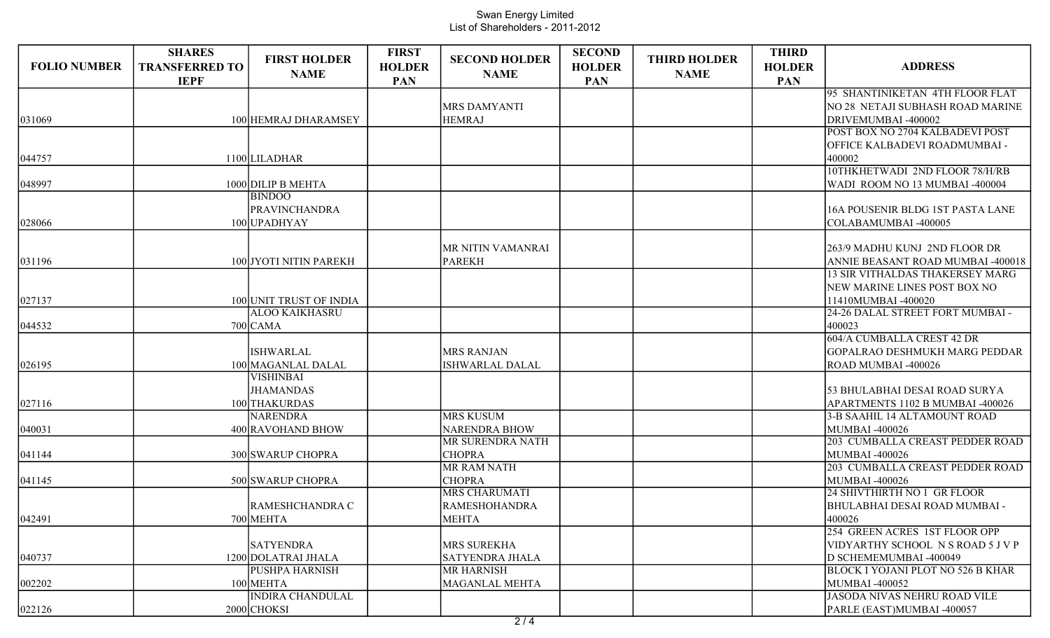| <b>FOLIO NUMBER</b> | <b>SHARES</b><br><b>TRANSFERRED TO</b><br><b>IEPF</b> | <b>FIRST HOLDER</b><br><b>NAME</b>     | <b>FIRST</b><br><b>HOLDER</b><br>PAN | <b>SECOND HOLDER</b><br><b>NAME</b> | <b>SECOND</b><br><b>HOLDER</b><br><b>PAN</b> | <b>THIRD HOLDER</b><br><b>NAME</b> | <b>THIRD</b><br><b>HOLDER</b><br>PAN | <b>ADDRESS</b>                           |
|---------------------|-------------------------------------------------------|----------------------------------------|--------------------------------------|-------------------------------------|----------------------------------------------|------------------------------------|--------------------------------------|------------------------------------------|
|                     |                                                       |                                        |                                      |                                     |                                              |                                    |                                      | 95 SHANTINIKETAN 4TH FLOOR FLAT          |
|                     |                                                       |                                        |                                      | <b>MRS DAMYANTI</b>                 |                                              |                                    |                                      | NO 28 NETAJI SUBHASH ROAD MARINE         |
| 031069              |                                                       | 100 HEMRAJ DHARAMSEY                   |                                      | <b>HEMRAJ</b>                       |                                              |                                    |                                      | DRIVEMUMBAI -400002                      |
|                     |                                                       |                                        |                                      |                                     |                                              |                                    |                                      | <b>POST BOX NO 2704 KALBADEVI POST</b>   |
|                     |                                                       |                                        |                                      |                                     |                                              |                                    |                                      | OFFICE KALBADEVI ROADMUMBAI -            |
| 044757              |                                                       | 1100 LILADHAR                          |                                      |                                     |                                              |                                    |                                      | 400002<br>10THKHETWADI 2ND FLOOR 78/H/RB |
| 048997              |                                                       | 1000 DILIP B MEHTA                     |                                      |                                     |                                              |                                    |                                      | WADI ROOM NO 13 MUMBAI -400004           |
|                     |                                                       | <b>BINDOO</b>                          |                                      |                                     |                                              |                                    |                                      |                                          |
|                     |                                                       | PRAVINCHANDRA                          |                                      |                                     |                                              |                                    |                                      | 16A POUSENIR BLDG 1ST PASTA LANE         |
| 028066              |                                                       | 100 UPADHYAY                           |                                      |                                     |                                              |                                    |                                      | COLABAMUMBAI -400005                     |
|                     |                                                       |                                        |                                      |                                     |                                              |                                    |                                      |                                          |
|                     |                                                       |                                        |                                      | MR NITIN VAMANRAI                   |                                              |                                    |                                      | 263/9 MADHU KUNJ 2ND FLOOR DR            |
| 031196              |                                                       | 100 JYOTI NITIN PAREKH                 |                                      | <b>PAREKH</b>                       |                                              |                                    |                                      | ANNIE BEASANT ROAD MUMBAI -400018        |
|                     |                                                       |                                        |                                      |                                     |                                              |                                    |                                      | <b>13 SIR VITHALDAS THAKERSEY MARG</b>   |
|                     |                                                       |                                        |                                      |                                     |                                              |                                    |                                      | NEW MARINE LINES POST BOX NO             |
| 027137              |                                                       | 100 UNIT TRUST OF INDIA                |                                      |                                     |                                              |                                    |                                      | 11410MUMBAI -400020                      |
|                     |                                                       | <b>ALOO KAIKHASRU</b>                  |                                      |                                     |                                              |                                    |                                      | 24-26 DALAL STREET FORT MUMBAI -         |
| 044532              |                                                       | $700$ CAMA                             |                                      |                                     |                                              |                                    |                                      | 400023                                   |
|                     |                                                       |                                        |                                      |                                     |                                              |                                    |                                      | 604/A CUMBALLA CREST 42 DR               |
|                     |                                                       | <b>ISHWARLAL</b>                       |                                      | <b>MRS RANJAN</b>                   |                                              |                                    |                                      | GOPALRAO DESHMUKH MARG PEDDAR            |
| 026195              |                                                       | 100 MAGANLAL DALAL<br><b>VISHINBAI</b> |                                      | ISHWARLAL DALAL                     |                                              |                                    |                                      | ROAD MUMBAI -400026                      |
|                     |                                                       | <b>JHAMANDAS</b>                       |                                      |                                     |                                              |                                    |                                      | 53 BHULABHAI DESAI ROAD SURYA            |
| 027116              |                                                       | 100 THAKURDAS                          |                                      |                                     |                                              |                                    |                                      | APARTMENTS 1102 B MUMBAI -400026         |
|                     |                                                       | <b>NARENDRA</b>                        |                                      | <b>MRS KUSUM</b>                    |                                              |                                    |                                      | 3-B SAAHIL 14 ALTAMOUNT ROAD             |
| 040031              |                                                       | 400 RAVOHAND BHOW                      |                                      | <b>NARENDRA BHOW</b>                |                                              |                                    |                                      | MUMBAI -400026                           |
|                     |                                                       |                                        |                                      | MR SURENDRA NATH                    |                                              |                                    |                                      | 203 CUMBALLA CREAST PEDDER ROAD          |
| 041144              |                                                       | 300 SWARUP CHOPRA                      |                                      | <b>CHOPRA</b>                       |                                              |                                    |                                      | MUMBAI -400026                           |
|                     |                                                       |                                        |                                      | <b>MR RAM NATH</b>                  |                                              |                                    |                                      | 203 CUMBALLA CREAST PEDDER ROAD          |
| 041145              |                                                       | 500 SWARUP CHOPRA                      |                                      | <b>CHOPRA</b>                       |                                              |                                    |                                      | MUMBAI -400026                           |
|                     |                                                       |                                        |                                      | <b>MRS CHARUMATI</b>                |                                              |                                    |                                      | 24 SHIVTHIRTH NO 1 GR FLOOR              |
|                     |                                                       | RAMESHCHANDRA C                        |                                      | RAMESHOHANDRA                       |                                              |                                    |                                      | <b>BHULABHAI DESAI ROAD MUMBAI -</b>     |
| 042491              |                                                       | 700 MEHTA                              |                                      | <b>MEHTA</b>                        |                                              |                                    |                                      | 400026                                   |
|                     |                                                       |                                        |                                      |                                     |                                              |                                    |                                      | 254 GREEN ACRES 1ST FLOOR OPP            |
|                     |                                                       | <b>SATYENDRA</b>                       |                                      | MRS SUREKHA                         |                                              |                                    |                                      | VIDYARTHY SCHOOL N S ROAD 5 J V P        |
| 040737              |                                                       | 1200 DOLATRAI JHALA                    |                                      | <b>SATYENDRA JHALA</b>              |                                              |                                    |                                      | D SCHEMEMUMBAI -400049                   |
|                     |                                                       | <b>PUSHPA HARNISH</b>                  |                                      | <b>MR HARNISH</b>                   |                                              |                                    |                                      | <b>BLOCK I YOJANI PLOT NO 526 B KHAR</b> |
| 002202              |                                                       | 100 MEHTA                              |                                      | MAGANLAL MEHTA                      |                                              |                                    |                                      | MUMBAI -400052                           |
|                     |                                                       | <b>INDIRA CHANDULAL</b>                |                                      |                                     |                                              |                                    |                                      | JASODA NIVAS NEHRU ROAD VILE             |
| 022126              |                                                       | 2000 CHOKSI                            |                                      |                                     |                                              |                                    |                                      | PARLE (EAST)MUMBAI -400057               |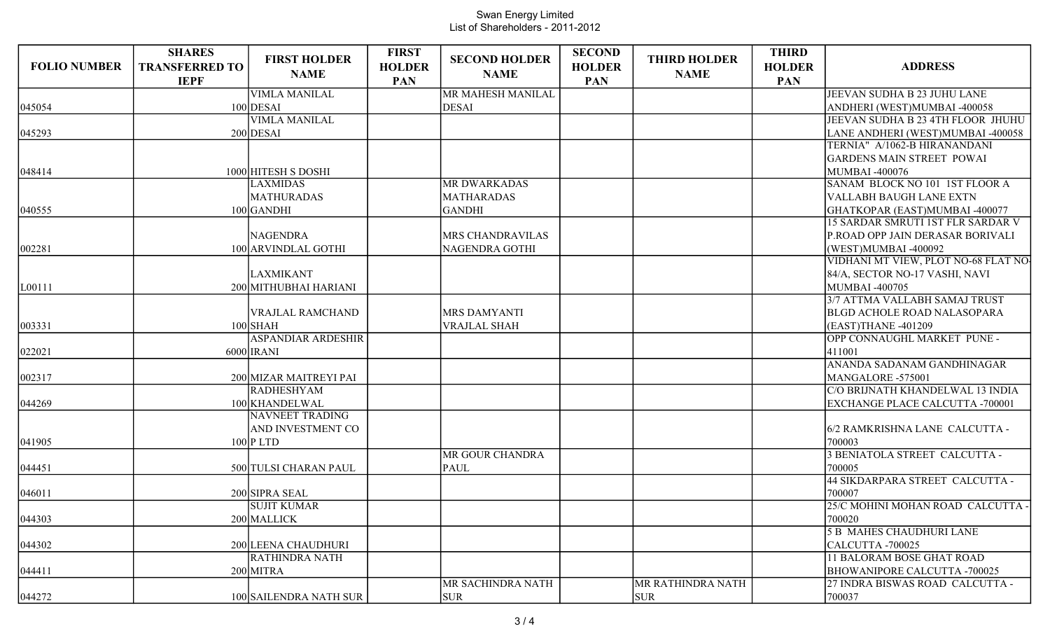| <b>FOLIO NUMBER</b> | <b>SHARES</b><br><b>TRANSFERRED TO</b> | <b>FIRST HOLDER</b>       | <b>FIRST</b><br><b>HOLDER</b> | <b>SECOND HOLDER</b> | <b>SECOND</b><br><b>HOLDER</b> | <b>THIRD HOLDER</b> | <b>THIRD</b><br><b>HOLDER</b> | <b>ADDRESS</b>                         |
|---------------------|----------------------------------------|---------------------------|-------------------------------|----------------------|--------------------------------|---------------------|-------------------------------|----------------------------------------|
|                     | <b>IEPF</b>                            | <b>NAME</b>               | PAN                           | <b>NAME</b>          | <b>PAN</b>                     | <b>NAME</b>         | <b>PAN</b>                    |                                        |
|                     |                                        | <b>VIMLA MANILAL</b>      |                               | MR MAHESH MANILAL    |                                |                     |                               | JEEVAN SUDHA B 23 JUHU LANE            |
| 045054              |                                        | $100$ DESAI               |                               | <b>DESAI</b>         |                                |                     |                               | ANDHERI (WEST)MUMBAI -400058           |
|                     |                                        | <b>VIMLA MANILAL</b>      |                               |                      |                                |                     |                               | JEEVAN SUDHA B 23 4TH FLOOR JHUHU      |
| 045293              |                                        | $200$ DESAI               |                               |                      |                                |                     |                               | LANE ANDHERI (WEST)MUMBAI -400058      |
|                     |                                        |                           |                               |                      |                                |                     |                               | TERNIA" A/1062-B HIRANANDANI           |
|                     |                                        |                           |                               |                      |                                |                     |                               | <b>GARDENS MAIN STREET POWAI</b>       |
| 048414              |                                        | 1000 HITESH S DOSHI       |                               |                      |                                |                     |                               | <b>MUMBAI -400076</b>                  |
|                     |                                        | <b>LAXMIDAS</b>           |                               | <b>MR DWARKADAS</b>  |                                |                     |                               | SANAM BLOCK NO 101 1ST FLOOR A         |
|                     |                                        | MATHURADAS                |                               | <b>MATHARADAS</b>    |                                |                     |                               | VALLABH BAUGH LANE EXTN                |
| 040555              |                                        | $100$ GANDHI              |                               | <b>GANDHI</b>        |                                |                     |                               | GHATKOPAR (EAST)MUMBAI -400077         |
|                     |                                        |                           |                               |                      |                                |                     |                               | 15 SARDAR SMRUTI 1ST FLR SARDAR V      |
|                     |                                        | <b>NAGENDRA</b>           |                               | MRS CHANDRAVILAS     |                                |                     |                               | P.ROAD OPP JAIN DERASAR BORIVALI       |
| 002281              |                                        | 100 ARVINDLAL GOTHI       |                               | NAGENDRA GOTHI       |                                |                     |                               | (WEST)MUMBAI -400092                   |
|                     |                                        |                           |                               |                      |                                |                     |                               | VIDHANI MT VIEW, PLOT NO-68 FLAT NO-   |
|                     |                                        | <b>LAXMIKANT</b>          |                               |                      |                                |                     |                               | 84/A, SECTOR NO-17 VASHI, NAVI         |
| L00111              |                                        | 200 MITHUBHAI HARIANI     |                               |                      |                                |                     |                               | MUMBAI -400705                         |
|                     |                                        |                           |                               |                      |                                |                     |                               | 3/7 ATTMA VALLABH SAMAJ TRUST          |
|                     |                                        | VRAJLAL RAMCHAND          |                               | <b>MRS DAMYANTI</b>  |                                |                     |                               | <b>BLGD ACHOLE ROAD NALASOPARA</b>     |
| 003331              |                                        | $100$ SHAH                |                               | <b>VRAJLAL SHAH</b>  |                                |                     |                               | (EAST)THANE -401209                    |
|                     |                                        | <b>ASPANDIAR ARDESHIR</b> |                               |                      |                                |                     |                               | OPP CONNAUGHL MARKET PUNE -            |
| 022021              |                                        | $6000$ IRANI              |                               |                      |                                |                     |                               | 411001                                 |
|                     |                                        |                           |                               |                      |                                |                     |                               | ANANDA SADANAM GANDHINAGAR             |
| 002317              |                                        | 200 MIZAR MAITREYI PAI    |                               |                      |                                |                     |                               | MANGALORE -575001                      |
|                     |                                        | <b>RADHESHYAM</b>         |                               |                      |                                |                     |                               | C/O BRIJNATH KHANDELWAL 13 INDIA       |
| 044269              |                                        | 100 KHANDELWAL            |                               |                      |                                |                     |                               | <b>EXCHANGE PLACE CALCUTTA -700001</b> |
|                     |                                        | NAVNEET TRADING           |                               |                      |                                |                     |                               |                                        |
|                     |                                        | AND INVESTMENT CO         |                               |                      |                                |                     |                               | 6/2 RAMKRISHNA LANE CALCUTTA -         |
| 041905              |                                        | $100$ P LTD               |                               |                      |                                |                     |                               | 700003                                 |
|                     |                                        |                           |                               | MR GOUR CHANDRA      |                                |                     |                               | 3 BENIATOLA STREET CALCUTTA -          |
| 044451              |                                        | 500 TULSI CHARAN PAUL     |                               | PAUL                 |                                |                     |                               | 700005                                 |
|                     |                                        |                           |                               |                      |                                |                     |                               | 44 SIKDARPARA STREET CALCUTTA -        |
| 046011              |                                        | 200 SIPRA SEAL            |                               |                      |                                |                     |                               | 700007                                 |
|                     |                                        | <b>SUJIT KUMAR</b>        |                               |                      |                                |                     |                               | 25/C MOHINI MOHAN ROAD CALCUTTA -      |
| 044303              |                                        | 200 MALLICK               |                               |                      |                                |                     |                               | 700020                                 |
|                     |                                        |                           |                               |                      |                                |                     |                               | <b>5 B MAHES CHAUDHURI LANE</b>        |
| 044302              |                                        | 200 LEENA CHAUDHURI       |                               |                      |                                |                     |                               | CALCUTTA-700025                        |
|                     |                                        | <b>RATHINDRA NATH</b>     |                               |                      |                                |                     |                               | 11 BALORAM BOSE GHAT ROAD              |
| 044411              |                                        | 200 MITRA                 |                               |                      |                                |                     |                               | <b>BHOWANIPORE CALCUTTA -700025</b>    |
|                     |                                        |                           |                               | MR SACHINDRA NATH    |                                | MR RATHINDRA NATH   |                               | 27 INDRA BISWAS ROAD CALCUTTA -        |
| 044272              |                                        | 100 SAILENDRA NATH SUR    |                               | <b>SUR</b>           |                                | <b>SUR</b>          |                               | 700037                                 |